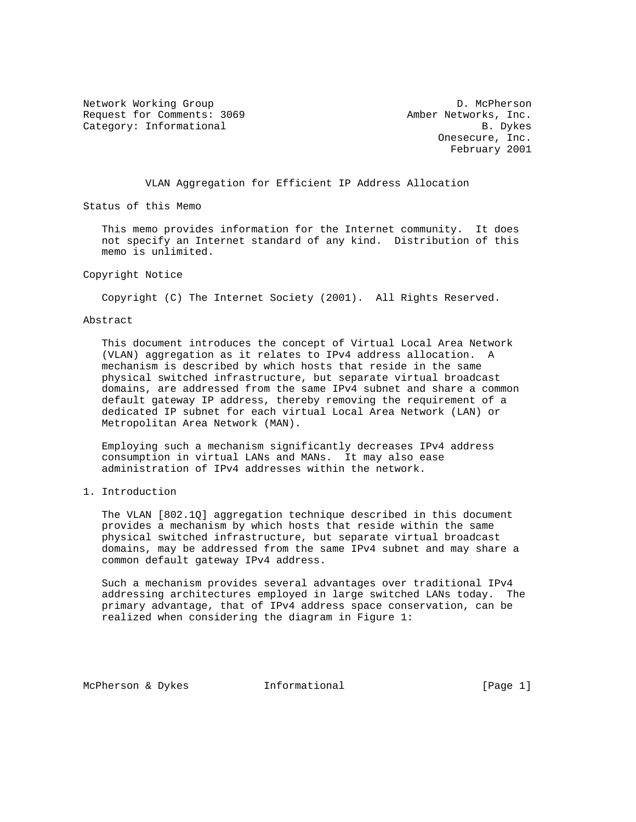Network Working Group Description of the D. McPherson Request for Comments: 3069 Amber Networks, Inc. Category: Informational and B. Dykes

 Onesecure, Inc. February 2001

VLAN Aggregation for Efficient IP Address Allocation

Status of this Memo

 This memo provides information for the Internet community. It does not specify an Internet standard of any kind. Distribution of this memo is unlimited.

Copyright Notice

Copyright (C) The Internet Society (2001). All Rights Reserved.

## Abstract

 This document introduces the concept of Virtual Local Area Network (VLAN) aggregation as it relates to IPv4 address allocation. A mechanism is described by which hosts that reside in the same physical switched infrastructure, but separate virtual broadcast domains, are addressed from the same IPv4 subnet and share a common default gateway IP address, thereby removing the requirement of a dedicated IP subnet for each virtual Local Area Network (LAN) or Metropolitan Area Network (MAN).

 Employing such a mechanism significantly decreases IPv4 address consumption in virtual LANs and MANs. It may also ease administration of IPv4 addresses within the network.

1. Introduction

 The VLAN [802.1Q] aggregation technique described in this document provides a mechanism by which hosts that reside within the same physical switched infrastructure, but separate virtual broadcast domains, may be addressed from the same IPv4 subnet and may share a common default gateway IPv4 address.

 Such a mechanism provides several advantages over traditional IPv4 addressing architectures employed in large switched LANs today. The primary advantage, that of IPv4 address space conservation, can be realized when considering the diagram in Figure 1:

McPherson & Dykes **Informational** [Page 1]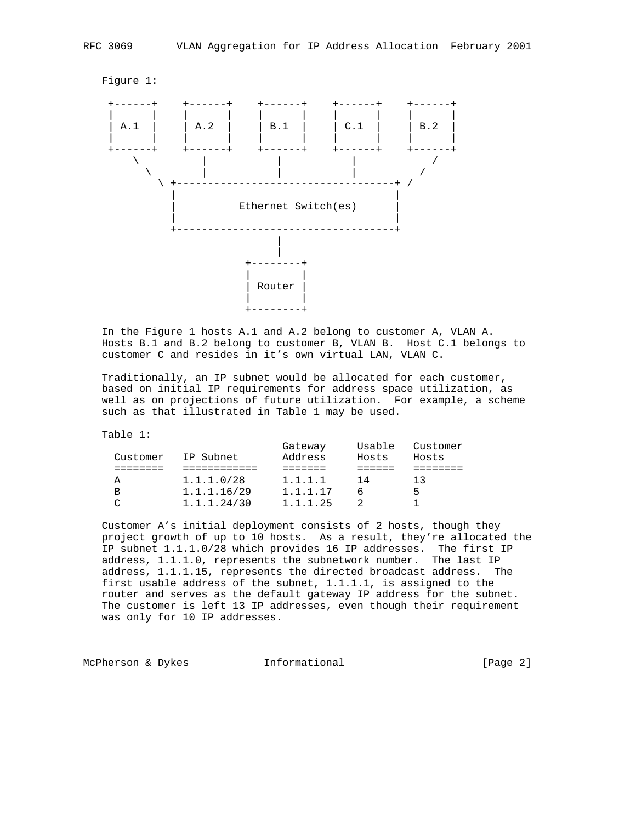

 In the Figure 1 hosts A.1 and A.2 belong to customer A, VLAN A. Hosts B.1 and B.2 belong to customer B, VLAN B. Host C.1 belongs to customer C and resides in it's own virtual LAN, VLAN C.

 Traditionally, an IP subnet would be allocated for each customer, based on initial IP requirements for address space utilization, as well as on projections of future utilization. For example, a scheme such as that illustrated in Table 1 may be used.

Table 1:

| Customer | IP Subnet   | Gateway<br>Address | Usable<br>Hosts | Customer<br>Hosts |
|----------|-------------|--------------------|-----------------|-------------------|
|          |             |                    |                 |                   |
| A        | 1.1.1.0/28  | 1.1.1.1            | 14              | 13                |
| В        | 1.1.1.16/29 | 1.1.1.17           | 6               | 5                 |
|          | 1.1.1.24/30 | 1.1.1.25           |                 |                   |
|          |             |                    |                 |                   |

 Customer A's initial deployment consists of 2 hosts, though they project growth of up to 10 hosts. As a result, they're allocated the IP subnet 1.1.1.0/28 which provides 16 IP addresses. The first IP address, 1.1.1.0, represents the subnetwork number. The last IP address, 1.1.1.15, represents the directed broadcast address. The first usable address of the subnet, 1.1.1.1, is assigned to the router and serves as the default gateway IP address for the subnet. The customer is left 13 IP addresses, even though their requirement was only for 10 IP addresses.

McPherson & Dykes **Informational Informational** [Page 2]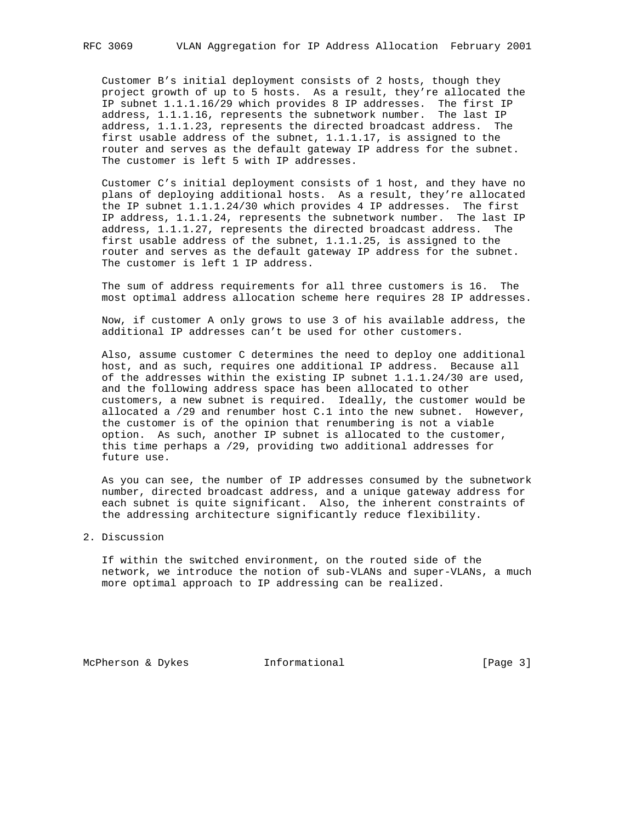Customer B's initial deployment consists of 2 hosts, though they project growth of up to 5 hosts. As a result, they're allocated the IP subnet 1.1.1.16/29 which provides 8 IP addresses. The first IP address, 1.1.1.16, represents the subnetwork number. The last IP address, 1.1.1.23, represents the directed broadcast address. The first usable address of the subnet, 1.1.1.17, is assigned to the router and serves as the default gateway IP address for the subnet. The customer is left 5 with IP addresses.

 Customer C's initial deployment consists of 1 host, and they have no plans of deploying additional hosts. As a result, they're allocated the IP subnet 1.1.1.24/30 which provides 4 IP addresses. The first IP address, 1.1.1.24, represents the subnetwork number. The last IP address, 1.1.1.27, represents the directed broadcast address. The first usable address of the subnet, 1.1.1.25, is assigned to the router and serves as the default gateway IP address for the subnet. The customer is left 1 IP address.

 The sum of address requirements for all three customers is 16. The most optimal address allocation scheme here requires 28 IP addresses.

 Now, if customer A only grows to use 3 of his available address, the additional IP addresses can't be used for other customers.

 Also, assume customer C determines the need to deploy one additional host, and as such, requires one additional IP address. Because all of the addresses within the existing IP subnet 1.1.1.24/30 are used, and the following address space has been allocated to other customers, a new subnet is required. Ideally, the customer would be allocated a /29 and renumber host C.1 into the new subnet. However, the customer is of the opinion that renumbering is not a viable option. As such, another IP subnet is allocated to the customer, this time perhaps a /29, providing two additional addresses for future use.

 As you can see, the number of IP addresses consumed by the subnetwork number, directed broadcast address, and a unique gateway address for each subnet is quite significant. Also, the inherent constraints of the addressing architecture significantly reduce flexibility.

2. Discussion

 If within the switched environment, on the routed side of the network, we introduce the notion of sub-VLANs and super-VLANs, a much more optimal approach to IP addressing can be realized.

McPherson & Dykes **Informational** [Page 3]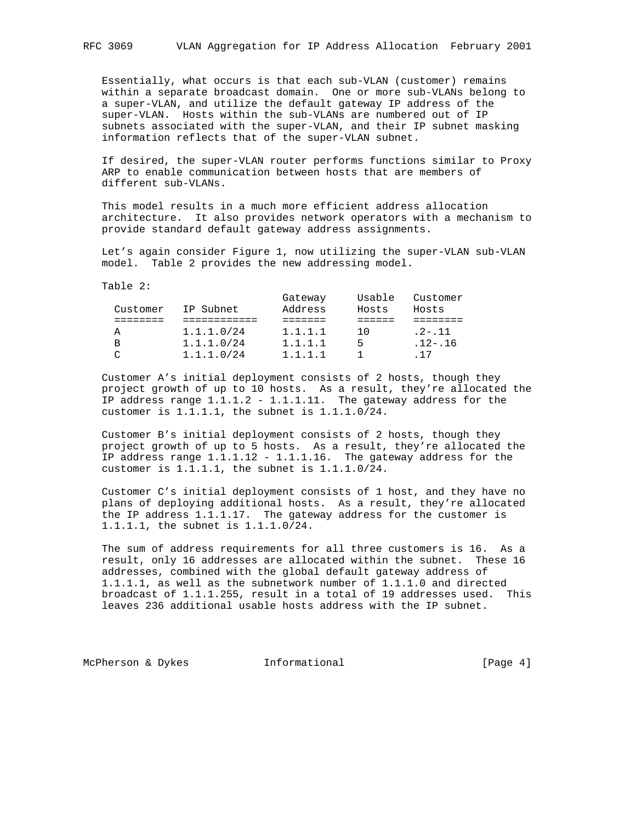Essentially, what occurs is that each sub-VLAN (customer) remains within a separate broadcast domain. One or more sub-VLANs belong to a super-VLAN, and utilize the default gateway IP address of the super-VLAN. Hosts within the sub-VLANs are numbered out of IP subnets associated with the super-VLAN, and their IP subnet masking information reflects that of the super-VLAN subnet.

 If desired, the super-VLAN router performs functions similar to Proxy ARP to enable communication between hosts that are members of different sub-VLANs.

 This model results in a much more efficient address allocation architecture. It also provides network operators with a mechanism to provide standard default gateway address assignments.

 Let's again consider Figure 1, now utilizing the super-VLAN sub-VLAN model. Table 2 provides the new addressing model.

Table 2:

|          |            | Gateway | Usable | Customer    |
|----------|------------|---------|--------|-------------|
| Customer | IP Subnet  | Address | Hosts  | Hosts       |
|          |            |         |        |             |
| A        | 1.1.1.0/24 | 1.1.1.1 | 1 N    | $.2 - .11$  |
| В        | 1.1.1.0/24 | 1.1.1.1 | 5      | $.12 - .16$ |
| ⌒        | 1.1.1.0/24 | 1.1.1.1 |        | 17          |

 Customer A's initial deployment consists of 2 hosts, though they project growth of up to 10 hosts. As a result, they're allocated the IP address range 1.1.1.2 - 1.1.1.11. The gateway address for the customer is 1.1.1.1, the subnet is 1.1.1.0/24.

 Customer B's initial deployment consists of 2 hosts, though they project growth of up to 5 hosts. As a result, they're allocated the IP address range  $1.1.1.12 - 1.1.1.16$ . The gateway address for the customer is 1.1.1.1, the subnet is 1.1.1.0/24.

 Customer C's initial deployment consists of 1 host, and they have no plans of deploying additional hosts. As a result, they're allocated the IP address 1.1.1.17. The gateway address for the customer is 1.1.1.1, the subnet is 1.1.1.0/24.

 The sum of address requirements for all three customers is 16. As a result, only 16 addresses are allocated within the subnet. These 16 addresses, combined with the global default gateway address of 1.1.1.1, as well as the subnetwork number of 1.1.1.0 and directed broadcast of 1.1.1.255, result in a total of 19 addresses used. This leaves 236 additional usable hosts address with the IP subnet.

McPherson & Dykes **Informational** [Page 4]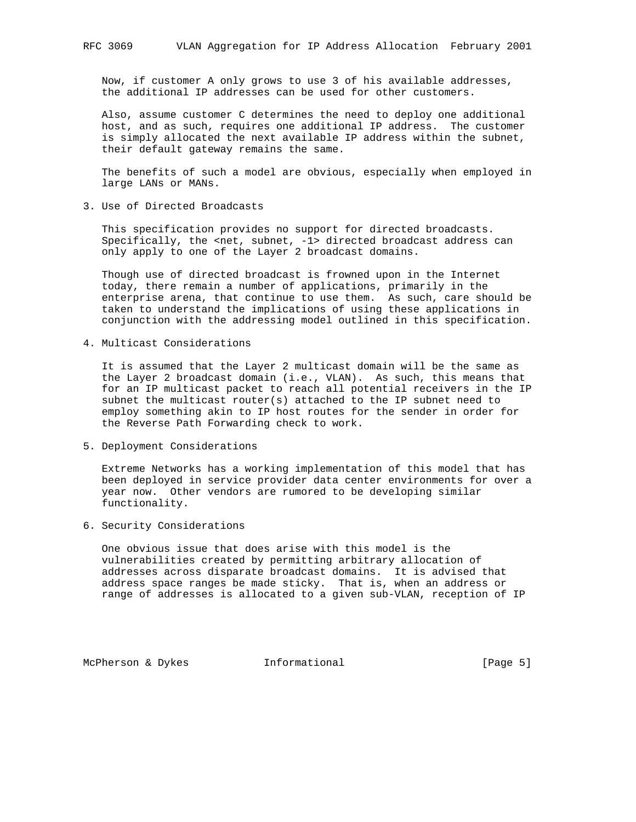Now, if customer A only grows to use 3 of his available addresses, the additional IP addresses can be used for other customers.

 Also, assume customer C determines the need to deploy one additional host, and as such, requires one additional IP address. The customer is simply allocated the next available IP address within the subnet, their default gateway remains the same.

 The benefits of such a model are obvious, especially when employed in large LANs or MANs.

3. Use of Directed Broadcasts

 This specification provides no support for directed broadcasts. Specifically, the <net, subnet, -1> directed broadcast address can only apply to one of the Layer 2 broadcast domains.

 Though use of directed broadcast is frowned upon in the Internet today, there remain a number of applications, primarily in the enterprise arena, that continue to use them. As such, care should be taken to understand the implications of using these applications in conjunction with the addressing model outlined in this specification.

4. Multicast Considerations

 It is assumed that the Layer 2 multicast domain will be the same as the Layer 2 broadcast domain (i.e., VLAN). As such, this means that for an IP multicast packet to reach all potential receivers in the IP subnet the multicast router(s) attached to the IP subnet need to employ something akin to IP host routes for the sender in order for the Reverse Path Forwarding check to work.

5. Deployment Considerations

 Extreme Networks has a working implementation of this model that has been deployed in service provider data center environments for over a year now. Other vendors are rumored to be developing similar functionality.

6. Security Considerations

 One obvious issue that does arise with this model is the vulnerabilities created by permitting arbitrary allocation of addresses across disparate broadcast domains. It is advised that address space ranges be made sticky. That is, when an address or range of addresses is allocated to a given sub-VLAN, reception of IP

McPherson & Dykes **Informational** [Page 5]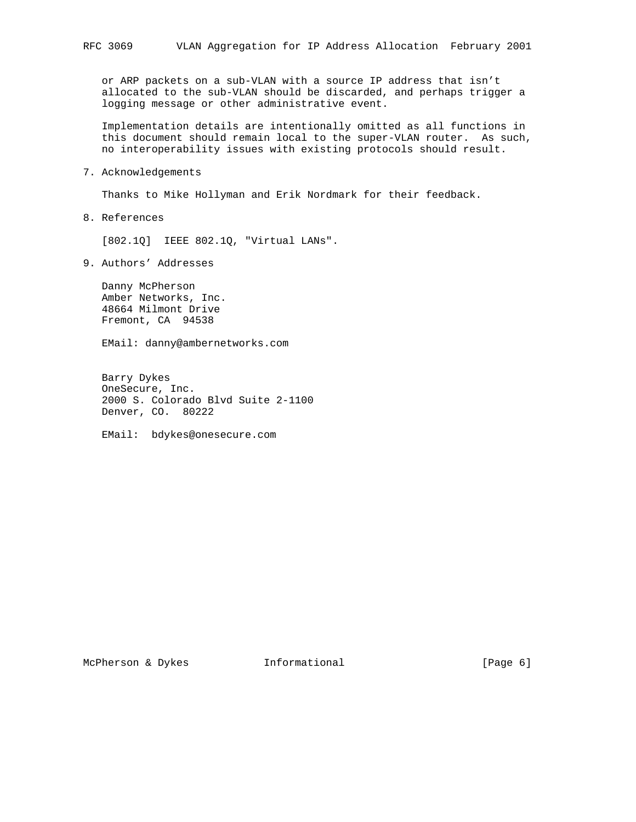or ARP packets on a sub-VLAN with a source IP address that isn't allocated to the sub-VLAN should be discarded, and perhaps trigger a logging message or other administrative event.

 Implementation details are intentionally omitted as all functions in this document should remain local to the super-VLAN router. As such, no interoperability issues with existing protocols should result.

7. Acknowledgements

Thanks to Mike Hollyman and Erik Nordmark for their feedback.

8. References

[802.1Q] IEEE 802.1Q, "Virtual LANs".

9. Authors' Addresses

 Danny McPherson Amber Networks, Inc. 48664 Milmont Drive Fremont, CA 94538

EMail: danny@ambernetworks.com

 Barry Dykes OneSecure, Inc. 2000 S. Colorado Blvd Suite 2-1100 Denver, CO. 80222

EMail: bdykes@onesecure.com